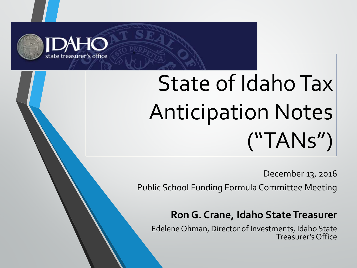

# State of Idaho Tax Anticipation Notes ("TANs")

December 13, 2016

Public School Funding Formula Committee Meeting

#### **Ron G. Crane, Idaho State Treasurer**

Edelene Ohman, Director of Investments, Idaho State Treasurer's Office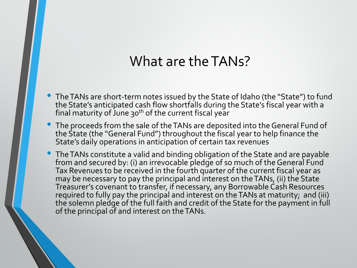#### What are the TANs?

- The TANs are short-term notes issued by the State of Idaho (the "State") to fund the State's anticipated cash flow shortfalls during the State's fiscal year with a final maturity of June 30<sup>th</sup> of the current fiscal year
- The proceeds from the sale of the TANs are deposited into the General Fund of the State (the "General Fund") throughout the fiscal year to help finance the State's daily operations in anticipation of certain tax revenues
- The TANs constitute a valid and binding obligation of the State and are payable from and secured by: (i) an irrevocable pledge of so much of the General Fund Tax Revenues to be received in the fourth quarter of the current fiscal year as may be necessary to pay the principal and interest on the TANs, (ii) the State Treasurer's covenant to transfer, if necessary, any Borrowable Cash Resources required to fully pay the principal and interest on the TANs at maturity; and (iii) the solemn pledge of the full faith and credit of the State for the payment in full of the principal of and interest on the TANs.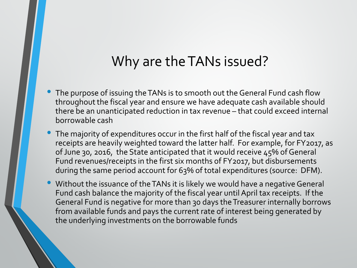#### Why are the TANs issued?

- The purpose of issuing the TANs is to smooth out the General Fund cash flow throughout the fiscal year and ensure we have adequate cash available should there be an unanticipated reduction in tax revenue – that could exceed internal borrowable cash
- The majority of expenditures occur in the first half of the fiscal year and tax receipts are heavily weighted toward the latter half. For example, for FY2017, as of June 30, 2016, the State anticipated that it would receive 45% of General Fund revenues/receipts in the first six months of FY2017, but disbursements during the same period account for 63% of total expenditures (source: DFM).
- Without the issuance of the TANs it is likely we would have a negative General Fund cash balance the majority of the fiscal year until April tax receipts. If the General Fund is negative for more than 30 days the Treasurer internally borrows from available funds and pays the current rate of interest being generated by the underlying investments on the borrowable funds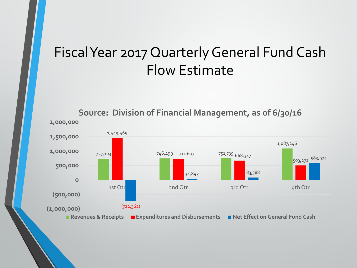# Fiscal Year 2017 Quarterly General Fund Cash Flow Estimate



**Source: Division of Financial Management, as of 6/30/16**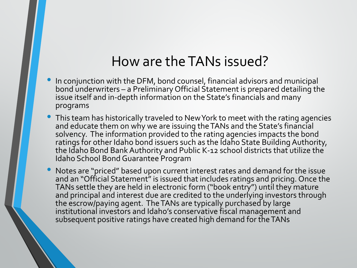#### How are the TANs issued?

- In conjunction with the DFM, bond counsel, financial advisors and municipal bond underwriters – a Preliminary Official Statement is prepared detailing the issue itself and in-depth information on the State's financials and many programs
- This team has historically traveled to New York to meet with the rating agencies and educate them on why we are issuing the TANs and the State's financial solvency. The information provided to the rating agencies impacts the bond ratings for other Idaho bond issuers such as the Idaho State Building Authority, the Idaho Bond Bank Authority and Public K-12 school districts that utilize the Idaho School Bond Guarantee Program
- Notes are "priced" based upon current interest rates and demand for the issue and an "Official Statement" is issued that includes ratings and pricing. Once the TANs settle they are held in electronic form ("book entry") until they mature and principal and interest due are credited to the underlying investors through the escrow/paying agent. The TANs are typically purchased by large institutional investors and Idaho's conservative fiscal management and subsequent positive ratings have created high demand for the TANs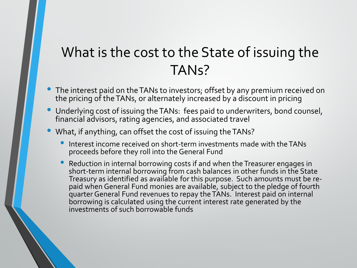# What is the cost to the State of issuing the TANs?

- The interest paid on the TANs to investors; offset by any premium received on the pricing of the TANs, or alternately increased by a discount in pricing
- Underlying cost of issuing the TANs: fees paid to underwriters, bond counsel, financial advisors, rating agencies, and associated travel
- What, if anything, can offset the cost of issuing the TANs?
	- Interest income received on short-term investments made with the TANs proceeds before they roll into the General Fund
	- Reduction in internal borrowing costs if and when the Treasurer engages in short-term internal borrowing from cash balances in other funds in the State Treasury as identified as available for this purpose. Such amounts must be re-<br>paid when General Fund monies are available, subject to the pledge of fourth paid when General Fund monies are available, subject to the pledge of fourth<br>quarter General Fund revenues to repay the TANs. Interest paid on internal borrowing is calculated using the current interest rate generated by the investments of such borrowable funds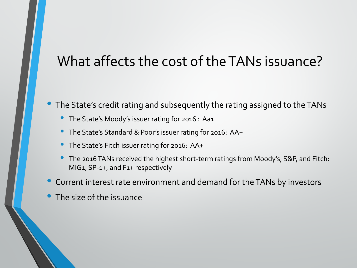### What affects the cost of the TANs issuance?

• The State's credit rating and subsequently the rating assigned to the TANs

- The State's Moody's issuer rating for 2016 : Aa1
- The State's Standard & Poor's issuer rating for 2016: AA+
- The State's Fitch issuer rating for 2016: AA+
- The 2016 TANs received the highest short-term ratings from Moody's, S&P, and Fitch: MIG1, SP-1+, and F1+ respectively
- Current interest rate environment and demand for the TANs by investors
- The size of the issuance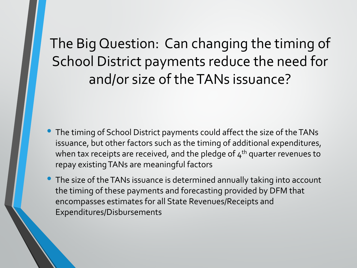# The Big Question: Can changing the timing of School District payments reduce the need for and/or size of the TANs issuance?

- The timing of School District payments could affect the size of the TANs issuance, but other factors such as the timing of additional expenditures, when tax receipts are received, and the pledge of  $4<sup>th</sup>$  quarter revenues to repay existing TANs are meaningful factors
- The size of the TANs issuance is determined annually taking into account the timing of these payments and forecasting provided by DFM that encompasses estimates for all State Revenues/Receipts and Expenditures/Disbursements